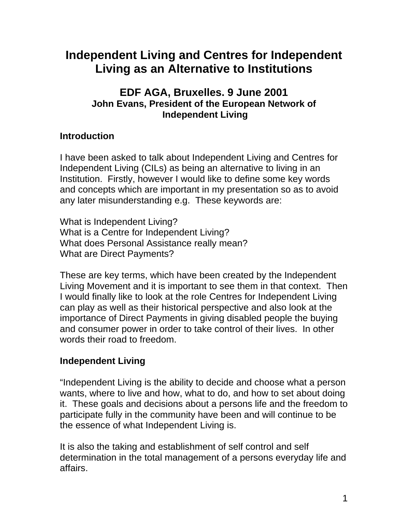# **Independent Living and Centres for Independent Living as an Alternative to Institutions**

## **EDF AGA, Bruxelles. 9 June 2001 John Evans, President of the European Network of Independent Living**

# **Introduction**

I have been asked to talk about Independent Living and Centres for Independent Living (CILs) as being an alternative to living in an Institution. Firstly, however I would like to define some key words and concepts which are important in my presentation so as to avoid any later misunderstanding e.g. These keywords are:

What is Independent Living? What is a Centre for Independent Living? What does Personal Assistance really mean? What are Direct Payments?

These are key terms, which have been created by the Independent Living Movement and it is important to see them in that context. Then I would finally like to look at the role Centres for Independent Living can play as well as their historical perspective and also look at the importance of Direct Payments in giving disabled people the buying and consumer power in order to take control of their lives. In other words their road to freedom.

## **Independent Living**

"Independent Living is the ability to decide and choose what a person wants, where to live and how, what to do, and how to set about doing it. These goals and decisions about a persons life and the freedom to participate fully in the community have been and will continue to be the essence of what Independent Living is.

It is also the taking and establishment of self control and self determination in the total management of a persons everyday life and affairs.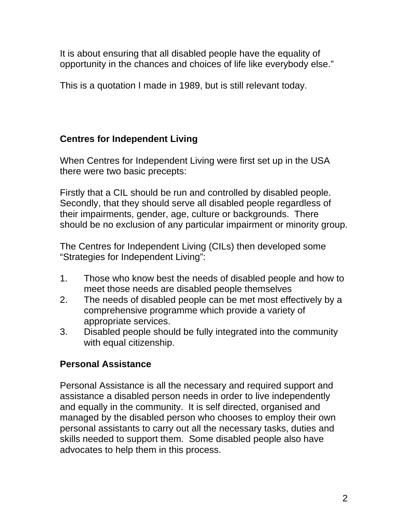It is about ensuring that all disabled people have the equality of opportunity in the chances and choices of life like everybody else."

This is a quotation I made in 1989, but is still relevant today.

# **Centres for Independent Living**

When Centres for Independent Living were first set up in the USA there were two basic precepts:

Firstly that a CIL should be run and controlled by disabled people. Secondly, that they should serve all disabled people regardless of their impairments, gender, age, culture or backgrounds. There should be no exclusion of any particular impairment or minority group.

The Centres for Independent Living (CILs) then developed some "Strategies for Independent Living":

- 1. Those who know best the needs of disabled people and how to meet those needs are disabled people themselves
- 2. The needs of disabled people can be met most effectively by a comprehensive programme which provide a variety of appropriate services.
- 3. Disabled people should be fully integrated into the community with equal citizenship.

## **Personal Assistance**

Personal Assistance is all the necessary and required support and assistance a disabled person needs in order to live independently and equally in the community. It is self directed, organised and managed by the disabled person who chooses to employ their own personal assistants to carry out all the necessary tasks, duties and skills needed to support them. Some disabled people also have advocates to help them in this process.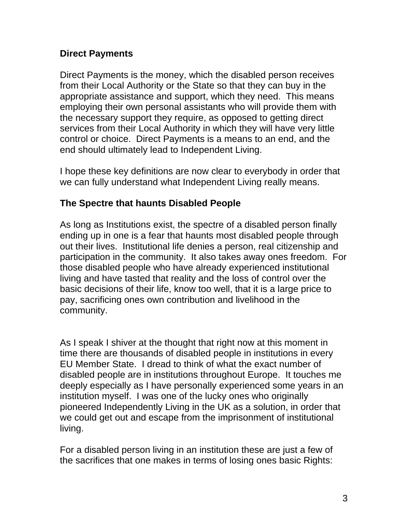#### **Direct Payments**

Direct Payments is the money, which the disabled person receives from their Local Authority or the State so that they can buy in the appropriate assistance and support, which they need. This means employing their own personal assistants who will provide them with the necessary support they require, as opposed to getting direct services from their Local Authority in which they will have very little control or choice. Direct Payments is a means to an end, and the end should ultimately lead to Independent Living.

I hope these key definitions are now clear to everybody in order that we can fully understand what Independent Living really means.

#### **The Spectre that haunts Disabled People**

As long as Institutions exist, the spectre of a disabled person finally ending up in one is a fear that haunts most disabled people through out their lives. Institutional life denies a person, real citizenship and participation in the community. It also takes away ones freedom. For those disabled people who have already experienced institutional living and have tasted that reality and the loss of control over the basic decisions of their life, know too well, that it is a large price to pay, sacrificing ones own contribution and livelihood in the community.

As I speak I shiver at the thought that right now at this moment in time there are thousands of disabled people in institutions in every EU Member State. I dread to think of what the exact number of disabled people are in institutions throughout Europe. It touches me deeply especially as I have personally experienced some years in an institution myself. I was one of the lucky ones who originally pioneered Independently Living in the UK as a solution, in order that we could get out and escape from the imprisonment of institutional living.

For a disabled person living in an institution these are just a few of the sacrifices that one makes in terms of losing ones basic Rights: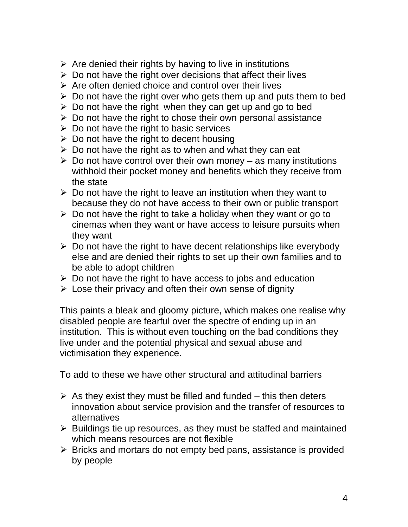- $\triangleright$  Are denied their rights by having to live in institutions
- $\triangleright$  Do not have the right over decisions that affect their lives
- $\triangleright$  Are often denied choice and control over their lives
- $\triangleright$  Do not have the right over who gets them up and puts them to bed
- $\triangleright$  Do not have the right when they can get up and go to bed
- $\triangleright$  Do not have the right to chose their own personal assistance
- $\triangleright$  Do not have the right to basic services
- $\triangleright$  Do not have the right to decent housing
- $\triangleright$  Do not have the right as to when and what they can eat
- $\triangleright$  Do not have control over their own money as many institutions withhold their pocket money and benefits which they receive from the state
- $\triangleright$  Do not have the right to leave an institution when they want to because they do not have access to their own or public transport
- $\triangleright$  Do not have the right to take a holiday when they want or go to cinemas when they want or have access to leisure pursuits when they want
- $\triangleright$  Do not have the right to have decent relationships like everybody else and are denied their rights to set up their own families and to be able to adopt children
- $\triangleright$  Do not have the right to have access to jobs and education
- $\triangleright$  Lose their privacy and often their own sense of dignity

This paints a bleak and gloomy picture, which makes one realise why disabled people are fearful over the spectre of ending up in an institution. This is without even touching on the bad conditions they live under and the potential physical and sexual abuse and victimisation they experience.

To add to these we have other structural and attitudinal barriers

- $\triangleright$  As they exist they must be filled and funded this then deters innovation about service provision and the transfer of resources to alternatives
- $\triangleright$  Buildings tie up resources, as they must be staffed and maintained which means resources are not flexible
- $\triangleright$  Bricks and mortars do not empty bed pans, assistance is provided by people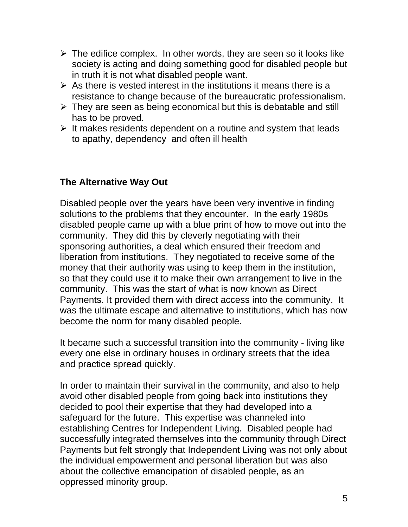- $\triangleright$  The edifice complex. In other words, they are seen so it looks like society is acting and doing something good for disabled people but in truth it is not what disabled people want.
- $\triangleright$  As there is vested interest in the institutions it means there is a resistance to change because of the bureaucratic professionalism.
- $\triangleright$  They are seen as being economical but this is debatable and still has to be proved.
- $\triangleright$  It makes residents dependent on a routine and system that leads to apathy, dependency and often ill health

## **The Alternative Way Out**

Disabled people over the years have been very inventive in finding solutions to the problems that they encounter. In the early 1980s disabled people came up with a blue print of how to move out into the community. They did this by cleverly negotiating with their sponsoring authorities, a deal which ensured their freedom and liberation from institutions. They negotiated to receive some of the money that their authority was using to keep them in the institution, so that they could use it to make their own arrangement to live in the community. This was the start of what is now known as Direct Payments. It provided them with direct access into the community. It was the ultimate escape and alternative to institutions, which has now become the norm for many disabled people.

It became such a successful transition into the community - living like every one else in ordinary houses in ordinary streets that the idea and practice spread quickly.

In order to maintain their survival in the community, and also to help avoid other disabled people from going back into institutions they decided to pool their expertise that they had developed into a safeguard for the future. This expertise was channeled into establishing Centres for Independent Living. Disabled people had successfully integrated themselves into the community through Direct Payments but felt strongly that Independent Living was not only about the individual empowerment and personal liberation but was also about the collective emancipation of disabled people, as an oppressed minority group.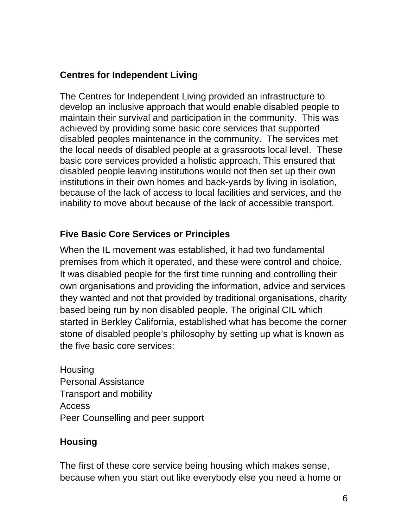## **Centres for Independent Living**

The Centres for Independent Living provided an infrastructure to develop an inclusive approach that would enable disabled people to maintain their survival and participation in the community. This was achieved by providing some basic core services that supported disabled peoples maintenance in the community. The services met the local needs of disabled people at a grassroots local level. These basic core services provided a holistic approach. This ensured that disabled people leaving institutions would not then set up their own institutions in their own homes and back-yards by living in isolation, because of the lack of access to local facilities and services, and the inability to move about because of the lack of accessible transport.

## **Five Basic Core Services or Principles**

When the IL movement was established, it had two fundamental premises from which it operated, and these were control and choice. It was disabled people for the first time running and controlling their own organisations and providing the information, advice and services they wanted and not that provided by traditional organisations, charity based being run by non disabled people. The original CIL which started in Berkley California, established what has become the corner stone of disabled people's philosophy by setting up what is known as the five basic core services:

**Housing** Personal Assistance Transport and mobility Access Peer Counselling and peer support

## **Housing**

The first of these core service being housing which makes sense, because when you start out like everybody else you need a home or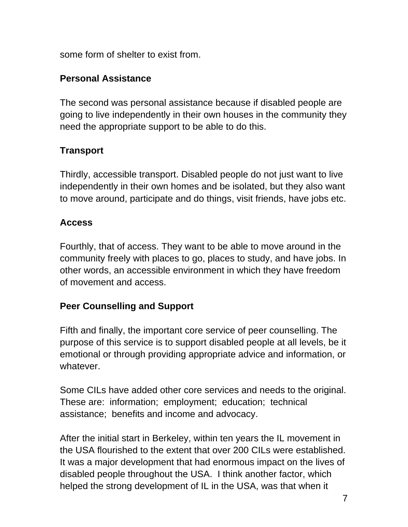some form of shelter to exist from.

### **Personal Assistance**

The second was personal assistance because if disabled people are going to live independently in their own houses in the community they need the appropriate support to be able to do this.

## **Transport**

Thirdly, accessible transport. Disabled people do not just want to live independently in their own homes and be isolated, but they also want to move around, participate and do things, visit friends, have jobs etc.

## **Access**

Fourthly, that of access. They want to be able to move around in the community freely with places to go, places to study, and have jobs. In other words, an accessible environment in which they have freedom of movement and access.

## **Peer Counselling and Support**

Fifth and finally, the important core service of peer counselling. The purpose of this service is to support disabled people at all levels, be it emotional or through providing appropriate advice and information, or whatever.

Some CILs have added other core services and needs to the original. These are: information; employment; education; technical assistance; benefits and income and advocacy.

After the initial start in Berkeley, within ten years the IL movement in the USA flourished to the extent that over 200 CILs were established. It was a major development that had enormous impact on the lives of disabled people throughout the USA. I think another factor, which helped the strong development of IL in the USA, was that when it